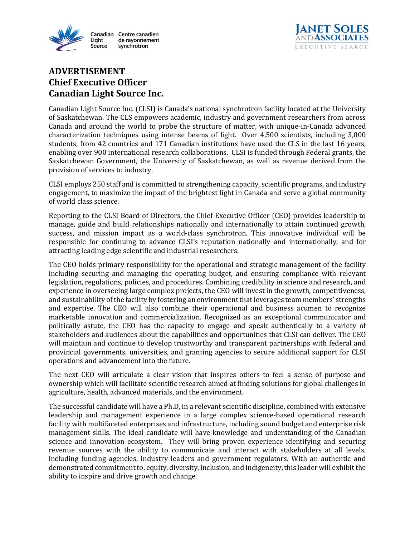



## **ADVERTISEMENT Chief Executive Officer Canadian Light Source Inc.**

Canadian Light Source Inc. (CLSI) is Canada's national synchrotron facility located at the University of Saskatchewan. The CLS empowers academic, industry and government researchers from across Canada and around the world to probe the structure of matter, with unique-in-Canada advanced characterization techniques using intense beams of light. Over 4,500 scientists, including 3,000 students, from 42 countries and 171 Canadian institutions have used the CLS in the last 16 years, enabling over 900 international research collaborations. CLSI is funded through Federal grants, the Saskatchewan Government, the University of Saskatchewan, as well as revenue derived from the provision of services to industry.

CLSI employs 250 staff and is committed to strengthening capacity, scientific programs, and industry engagement, to maximize the impact of the brightest light in Canada and serve a global community of world class science.

Reporting to the CLSI Board of Directors, the Chief Executive Officer (CEO) provides leadership to manage, guide and build relationships nationally and internationally to attain continued growth, success, and mission impact as a world-class synchrotron. This innovative individual will be responsible for continuing to advance CLSI's reputation nationally and internationally, and for attracting leading edge scientific and industrial researchers.

The CEO holds primary responsibility for the operational and strategic management of the facility including securing and managing the operating budget, and ensuring compliance with relevant legislation, regulations, policies, and procedures. Combining credibility in science and research, and experience in overseeing large complex projects, the CEO will invest in the growth, competitiveness, and sustainability of the facility by fostering an environment that leverages team members' strengths and expertise. The CEO will also combine their operational and business acumen to recognize marketable innovation and commercialization. Recognized as an exceptional communicator and politically astute, the CEO has the capacity to engage and speak authentically to a variety of stakeholders and audiences about the capabilities and opportunities that CLSI can deliver. The CEO will maintain and continue to develop trustworthy and transparent partnerships with federal and provincial governments, universities, and granting agencies to secure additional support for CLSI operations and advancement into the future.

The next CEO will articulate a clear vision that inspires others to feel a sense of purpose and ownership which will facilitate scientific research aimed at finding solutions for global challenges in agriculture, health, advanced materials, and the environment.

The successful candidate will have a Ph.D, in a relevant scientific discipline, combined with extensive leadership and management experience in a large complex science-based operational research facility with multifaceted enterprises and infrastructure, including sound budget and enterprise risk management skills. The ideal candidate will have knowledge and understanding of the Canadian science and innovation ecosystem. They will bring proven experience identifying and securing revenue sources with the ability to communicate and interact with stakeholders at all levels, including funding agencies, industry leaders and government regulators. With an authentic and demonstrated commitment to, equity, diversity, inclusion, and indigeneity, this leader will exhibit the ability to inspire and drive growth and change.